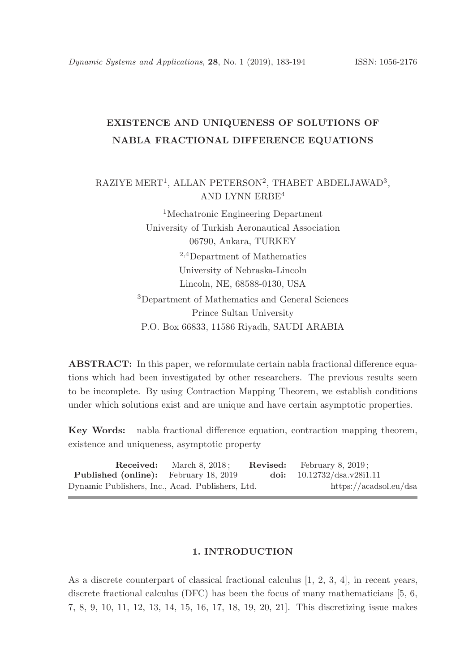# EXISTENCE AND UNIQUENESS OF SOLUTIONS OF NABLA FRACTIONAL DIFFERENCE EQUATIONS

# $\mathrm{RAZIYE}\ \mathrm{MERT^1},\ \mathrm{ALLAN}\ \mathrm{PETERSON^2},\ \mathrm{THABET}\ \mathrm{ABDELJAWAD^3},$ AND LYNN ERBE<sup>4</sup>

<sup>1</sup>Mechatronic Engineering Department University of Turkish Aeronautical Association 06790, Ankara, TURKEY <sup>2</sup>,<sup>4</sup>Department of Mathematics University of Nebraska-Lincoln Lincoln, NE, 68588-0130, USA <sup>3</sup>Department of Mathematics and General Sciences Prince Sultan University P.O. Box 66833, 11586 Riyadh, SAUDI ARABIA

ABSTRACT: In this paper, we reformulate certain nabla fractional difference equations which had been investigated by other researchers. The previous results seem to be incomplete. By using Contraction Mapping Theorem, we establish conditions under which solutions exist and are unique and have certain asymptotic properties.

Key Words: nabla fractional difference equation, contraction mapping theorem, existence and uniqueness, asymptotic property

|                                                  | <b>Received:</b> March 8, 2018; | <b>Revised:</b> February 8, 2019; |  |
|--------------------------------------------------|---------------------------------|-----------------------------------|--|
| <b>Published (online):</b> February 18, 2019     |                                 | doi: $10.12732/dsa.v28i1.11$      |  |
| Dynamic Publishers, Inc., Acad. Publishers, Ltd. |                                 | https://acadsol.eu/dsa            |  |

## 1. INTRODUCTION

As a discrete counterpart of classical fractional calculus [1, 2, 3, 4], in recent years, discrete fractional calculus (DFC) has been the focus of many mathematicians [5, 6, 7, 8, 9, 10, 11, 12, 13, 14, 15, 16, 17, 18, 19, 20, 21]. This discretizing issue makes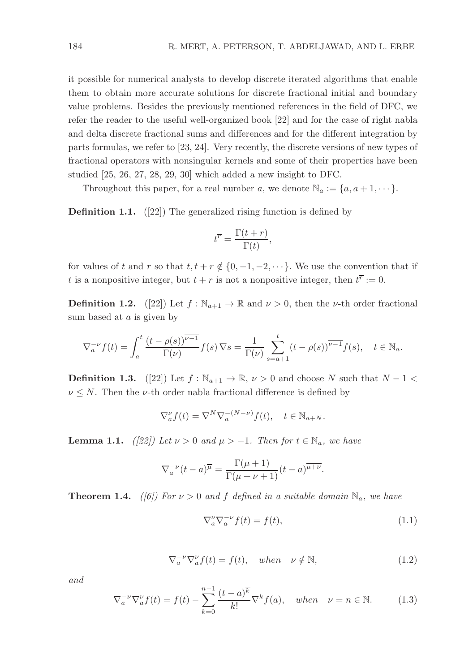it possible for numerical analysts to develop discrete iterated algorithms that enable them to obtain more accurate solutions for discrete fractional initial and boundary value problems. Besides the previously mentioned references in the field of DFC, we refer the reader to the useful well-organized book [22] and for the case of right nabla and delta discrete fractional sums and differences and for the different integration by parts formulas, we refer to [23, 24]. Very recently, the discrete versions of new types of fractional operators with nonsingular kernels and some of their properties have been studied [25, 26, 27, 28, 29, 30] which added a new insight to DFC.

Throughout this paper, for a real number a, we denote  $\mathbb{N}_a := \{a, a+1, \dots\}.$ 

Definition 1.1. ([22]) The generalized rising function is defined by

$$
t^{\overline{r}} = \frac{\Gamma(t+r)}{\Gamma(t)},
$$

for values of t and r so that  $t, t + r \notin \{0, -1, -2, \dots\}$ . We use the convention that if t is a nonpositive integer, but  $t + r$  is not a nonpositive integer, then  $t^{\overline{r}} := 0$ .

**Definition 1.2.** ([22]) Let  $f : \mathbb{N}_{a+1} \to \mathbb{R}$  and  $\nu > 0$ , then the *v*-th order fractional sum based at a is given by

$$
\nabla_a^{-\nu} f(t) = \int_a^t \frac{(t - \rho(s))^{\overline{\nu - 1}}}{\Gamma(\nu)} f(s) \nabla s = \frac{1}{\Gamma(\nu)} \sum_{s = a+1}^t (t - \rho(s))^{\overline{\nu - 1}} f(s), \quad t \in \mathbb{N}_a.
$$

**Definition 1.3.** ([22]) Let  $f : \mathbb{N}_{a+1} \to \mathbb{R}, \nu > 0$  and choose N such that  $N - 1 <$  $\nu \leq N$ . Then the *v*-th order nabla fractional difference is defined by

$$
\nabla_a^{\nu} f(t) = \nabla^N \nabla_a^{-(N-\nu)} f(t), \quad t \in \mathbb{N}_{a+N}.
$$

**Lemma 1.1.** ([22]) Let  $\nu > 0$  and  $\mu > -1$ . Then for  $t \in \mathbb{N}_a$ , we have

$$
\nabla_a^{-\nu} (t-a)^{\overline{\mu}} = \frac{\Gamma(\mu+1)}{\Gamma(\mu+\nu+1)} (t-a)^{\overline{\mu+\nu}}.
$$

**Theorem 1.4.** ([6]) For  $\nu > 0$  and f defined in a suitable domain  $\mathbb{N}_a$ , we have

$$
\nabla_a^{\nu} \nabla_a^{-\nu} f(t) = f(t),\tag{1.1}
$$

$$
\nabla_a^{-\nu} \nabla_a^{\nu} f(t) = f(t), \quad when \quad \nu \notin \mathbb{N}, \tag{1.2}
$$

and

$$
\nabla_a^{-\nu} \nabla_a^{\nu} f(t) = f(t) - \sum_{k=0}^{n-1} \frac{(t-a)^k}{k!} \nabla^k f(a), \quad when \quad \nu = n \in \mathbb{N}.
$$
 (1.3)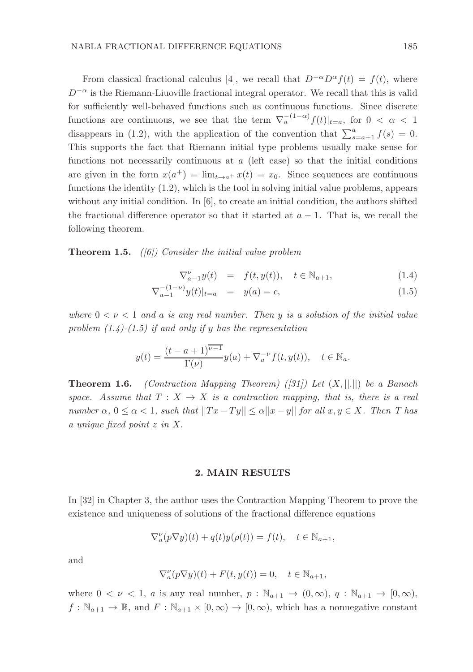From classical fractional calculus [4], we recall that  $D^{-\alpha}D^{\alpha}f(t) = f(t)$ , where  $D^{-\alpha}$  is the Riemann-Liuoville fractional integral operator. We recall that this is valid for sufficiently well-behaved functions such as continuous functions. Since discrete functions are continuous, we see that the term  $\nabla_a^{(1-\alpha)}f(t)|_{t=a}$ , for  $0 < \alpha < 1$ disappears in (1.2), with the application of the convention that  $\sum_{s=a+1}^{a} f(s) = 0$ . This supports the fact that Riemann initial type problems usually make sense for functions not necessarily continuous at  $a$  (left case) so that the initial conditions are given in the form  $x(a^+) = \lim_{t \to a^+} x(t) = x_0$ . Since sequences are continuous functions the identity (1.2), which is the tool in solving initial value problems, appears without any initial condition. In [6], to create an initial condition, the authors shifted the fractional difference operator so that it started at  $a - 1$ . That is, we recall the following theorem.

**Theorem 1.5.** ([6]) Consider the initial value problem

$$
\nabla_{a-1}^{\nu} y(t) = f(t, y(t)), \quad t \in \mathbb{N}_{a+1}, \tag{1.4}
$$

$$
\nabla_{a-1}^{-(1-\nu)} y(t)|_{t=a} = y(a) = c,\t\t(1.5)
$$

where  $0 < \nu < 1$  and a is any real number. Then y is a solution of the initial value problem  $(1.4)-(1.5)$  if and only if y has the representation

$$
y(t) = \frac{(t-a+1)^{\overline{\nu-1}}}{\Gamma(\nu)}y(a) + \nabla_a^{-\nu}f(t, y(t)), \quad t \in \mathbb{N}_a.
$$

**Theorem 1.6.** (Contraction Mapping Theorem) ([31]) Let  $(X, ||.||)$  be a Banach space. Assume that  $T : X \to X$  is a contraction mapping, that is, there is a real number  $\alpha, 0 \leq \alpha < 1$ , such that  $||Tx - Ty|| \leq \alpha ||x - y||$  for all  $x, y \in X$ . Then T has a unique fixed point z in X.

## 2. MAIN RESULTS

In [32] in Chapter 3, the author uses the Contraction Mapping Theorem to prove the existence and uniqueness of solutions of the fractional difference equations

$$
\nabla_a^{\nu}(p\nabla y)(t) + q(t)y(\rho(t)) = f(t), \quad t \in \mathbb{N}_{a+1},
$$

and

$$
\nabla_a^{\nu}(p\nabla y)(t) + F(t, y(t)) = 0, \quad t \in \mathbb{N}_{a+1},
$$

where  $0 < \nu < 1$ , a is any real number,  $p : \mathbb{N}_{a+1} \to (0,\infty)$ ,  $q : \mathbb{N}_{a+1} \to [0,\infty)$ ,  $f: \mathbb{N}_{a+1} \to \mathbb{R}$ , and  $F: \mathbb{N}_{a+1} \times [0, \infty) \to [0, \infty)$ , which has a nonnegative constant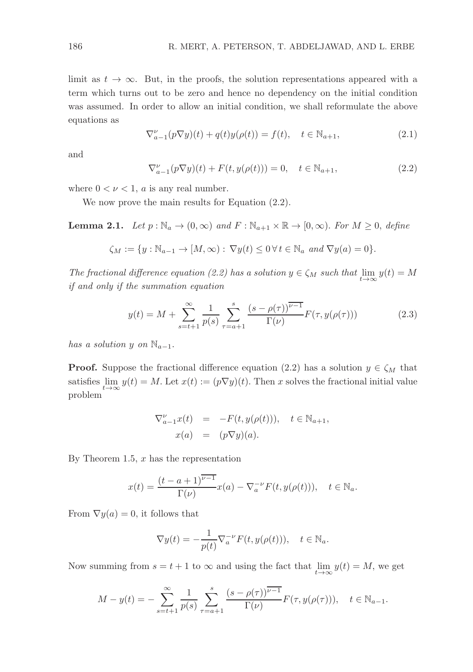limit as  $t \to \infty$ . But, in the proofs, the solution representations appeared with a term which turns out to be zero and hence no dependency on the initial condition was assumed. In order to allow an initial condition, we shall reformulate the above equations as

$$
\nabla_{a-1}^{\nu}(p\nabla y)(t) + q(t)y(\rho(t)) = f(t), \quad t \in \mathbb{N}_{a+1},
$$
\n(2.1)

and

$$
\nabla_{a-1}^{\nu}(p\nabla y)(t) + F(t, y(\rho(t))) = 0, \quad t \in \mathbb{N}_{a+1},
$$
\n(2.2)

where  $0 < \nu < 1$ , a is any real number.

We now prove the main results for Equation (2.2).

**Lemma 2.1.** Let  $p : \mathbb{N}_a \to (0, \infty)$  and  $F : \mathbb{N}_{a+1} \times \mathbb{R} \to [0, \infty)$ . For  $M \geq 0$ , define

$$
\zeta_M := \{ y : \mathbb{N}_{a-1} \to [M, \infty) : \nabla y(t) \le 0 \,\forall \, t \in \mathbb{N}_a \text{ and } \nabla y(a) = 0 \}.
$$

The fractional difference equation (2.2) has a solution  $y \in \zeta_M$  such that  $\lim_{t \to \infty} y(t) = M$ if and only if the summation equation

$$
y(t) = M + \sum_{s=t+1}^{\infty} \frac{1}{p(s)} \sum_{\tau=a+1}^{s} \frac{(s - \rho(\tau))^{D-1}}{\Gamma(\nu)} F(\tau, y(\rho(\tau)))
$$
 (2.3)

has a solution y on  $\mathbb{N}_{a-1}$ .

**Proof.** Suppose the fractional difference equation (2.2) has a solution  $y \in \zeta_M$  that satisfies  $\lim_{t\to\infty} y(t) = M$ . Let  $x(t) := (p\nabla y)(t)$ . Then x solves the fractional initial value problem

$$
\nabla_{a-1}^{\nu} x(t) = -F(t, y(\rho(t))), \quad t \in \mathbb{N}_{a+1},
$$
  

$$
x(a) = (p\nabla y)(a).
$$

By Theorem 1.5,  $x$  has the representation

$$
x(t) = \frac{(t-a+1)^{\overline{\nu-1}}}{\Gamma(\nu)}x(a) - \nabla_a^{-\nu}F(t, y(\rho(t))), \quad t \in \mathbb{N}_a.
$$

From  $\nabla y(a) = 0$ , it follows that

$$
\nabla y(t) = -\frac{1}{p(t)} \nabla_a^{-\nu} F(t, y(\rho(t))), \quad t \in \mathbb{N}_a.
$$

Now summing from  $s = t + 1$  to  $\infty$  and using the fact that  $\lim_{t \to \infty} y(t) = M$ , we get

$$
M - y(t) = -\sum_{s=t+1}^{\infty} \frac{1}{p(s)} \sum_{\tau=a+1}^{s} \frac{(s - \rho(\tau))^{v-1}}{\Gamma(\nu)} F(\tau, y(\rho(\tau))), \quad t \in \mathbb{N}_{a-1}.
$$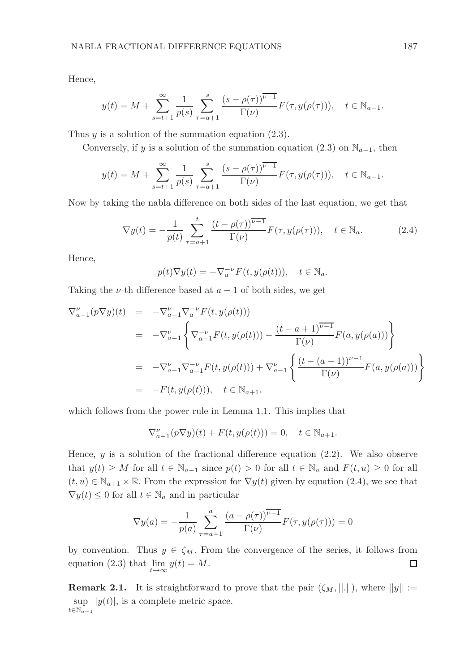Hence,

$$
y(t) = M + \sum_{s=t+1}^{\infty} \frac{1}{p(s)} \sum_{\tau=a+1}^{s} \frac{(s - \rho(\tau))^{\overline{\nu-1}}}{\Gamma(\nu)} F(\tau, y(\rho(\tau))), \quad t \in \mathbb{N}_{a-1}.
$$

Thus  $y$  is a solution of the summation equation (2.3).

Conversely, if y is a solution of the summation equation (2.3) on  $\mathbb{N}_{a-1}$ , then

$$
y(t) = M + \sum_{s=t+1}^{\infty} \frac{1}{p(s)} \sum_{\tau=a+1}^{s} \frac{(s-\rho(\tau))^{\overline{\nu-1}}}{\Gamma(\nu)} F(\tau, y(\rho(\tau))), \quad t \in \mathbb{N}_{a-1}.
$$

Now by taking the nabla difference on both sides of the last equation, we get that

$$
\nabla y(t) = -\frac{1}{p(t)} \sum_{\tau=a+1}^{t} \frac{(t-\rho(\tau))^{\overline{\nu-1}}}{\Gamma(\nu)} F(\tau, y(\rho(\tau))), \quad t \in \mathbb{N}_a.
$$
 (2.4)

Hence,

$$
p(t)\nabla y(t) = -\nabla_a^{-\nu} F(t, y(\rho(t))), \quad t \in \mathbb{N}_a.
$$

Taking the  $\nu$ -th difference based at  $a - 1$  of both sides, we get

$$
\nabla_{a-1}^{\nu}(p\nabla y)(t) = -\nabla_{a-1}^{\nu}\nabla_{a}^{-\nu}F(t, y(\rho(t)))
$$
\n
$$
= -\nabla_{a-1}^{\nu}\left\{\nabla_{a-1}^{-\nu}F(t, y(\rho(t))) - \frac{(t-a+1)^{\overline{\nu-1}}}{\Gamma(\nu)}F(a, y(\rho(a)))\right\}
$$
\n
$$
= -\nabla_{a-1}^{\nu}\nabla_{a-1}^{-\nu}F(t, y(\rho(t))) + \nabla_{a-1}^{\nu}\left\{\frac{(t-(a-1))^{\overline{\nu-1}}}{\Gamma(\nu)}F(a, y(\rho(a)))\right\}
$$
\n
$$
= -F(t, y(\rho(t))), \quad t \in \mathbb{N}_{a+1},
$$

which follows from the power rule in Lemma 1.1. This implies that

$$
\nabla_{a-1}^{\nu}(p\nabla y)(t) + F(t, y(\rho(t))) = 0, \quad t \in \mathbb{N}_{a+1}.
$$

Hence,  $y$  is a solution of the fractional difference equation (2.2). We also observe that  $y(t) \geq M$  for all  $t \in \mathbb{N}_{a-1}$  since  $p(t) > 0$  for all  $t \in \mathbb{N}_a$  and  $F(t, u) \geq 0$  for all  $(t, u) \in \mathbb{N}_{a+1} \times \mathbb{R}$ . From the expression for  $\nabla y(t)$  given by equation (2.4), we see that  $\nabla y(t) \leq 0$  for all  $t \in \mathbb{N}_a$  and in particular

$$
\nabla y(a) = -\frac{1}{p(a)} \sum_{\tau=a+1}^{a} \frac{(a - \rho(\tau))^{v-1}}{\Gamma(v)} F(\tau, y(\rho(\tau))) = 0
$$

by convention. Thus  $y \in \zeta_M$ . From the convergence of the series, it follows from equation (2.3) that  $\lim_{t\to\infty} y(t) = M$ .  $\Box$ 

**Remark 2.1.** It is straightforward to prove that the pair  $((\zeta_M, ||.||))$ , where  $||y|| :=$ sup  $|y(t)|$ , is a complete metric space.  $t \in \mathbb{N}_{a-1}$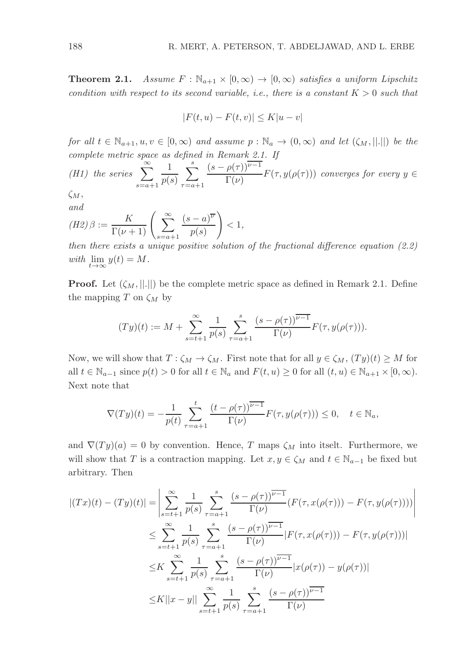**Theorem 2.1.** Assume  $F : \mathbb{N}_{a+1} \times [0, \infty) \to [0, \infty)$  satisfies a uniform Lipschitz condition with respect to its second variable, i.e., there is a constant  $K > 0$  such that

$$
|F(t, u) - F(t, v)| \le K|u - v|
$$

for all  $t \in \mathbb{N}_{a+1}, u, v \in [0, \infty)$  and assume  $p : \mathbb{N}_{a} \to (0, \infty)$  and let  $(\zeta_M, ||.||)$  be the complete metric space as defined in Remark 2.1. If

(H1) the series 
$$
\sum_{s=a+1}^{\infty} \frac{1}{p(s)} \sum_{\tau=a+1}^{s} \frac{(s-\rho(\tau))^{v-1}}{\Gamma(\nu)} F(\tau, y(\rho(\tau)))
$$
 converges for every  $y \in$ 

 $\zeta_M,$ and

$$
(H2)\beta := \frac{K}{\Gamma(\nu+1)} \left( \sum_{s=a+1}^{\infty} \frac{(s-a)^{\overline{\nu}}}{p(s)} \right) < 1,
$$

then there exists a unique positive solution of the fractional difference equation  $(2.2)$ with  $\lim_{t\to\infty} y(t) = M$ .

**Proof.** Let  $(\zeta_M, ||.||)$  be the complete metric space as defined in Remark 2.1. Define the mapping T on  $\zeta_M$  by

$$
(Ty)(t) := M + \sum_{s=t+1}^{\infty} \frac{1}{p(s)} \sum_{\tau=a+1}^{s} \frac{(s - \rho(\tau))^{v-1}}{\Gamma(\nu)} F(\tau, y(\rho(\tau))).
$$

Now, we will show that  $T : \zeta_M \to \zeta_M$ . First note that for all  $y \in \zeta_M$ ,  $(Ty)(t) \geq M$  for all  $t \in \mathbb{N}_{a-1}$  since  $p(t) > 0$  for all  $t \in \mathbb{N}_a$  and  $F(t, u) \geq 0$  for all  $(t, u) \in \mathbb{N}_{a+1} \times [0, \infty)$ . Next note that

$$
\nabla(Ty)(t) = -\frac{1}{p(t)} \sum_{\tau=a+1}^t \frac{(t-\rho(\tau))^{\overline{\nu-1}}}{\Gamma(\nu)} F(\tau, y(\rho(\tau))) \le 0, \quad t \in \mathbb{N}_a,
$$

and  $\nabla(Ty)(a) = 0$  by convention. Hence, T maps  $\zeta_M$  into itself. Furthermore, we will show that T is a contraction mapping. Let  $x, y \in \zeta_M$  and  $t \in \mathbb{N}_{a-1}$  be fixed but arbitrary. Then

$$
|(Tx)(t) - (Ty)(t)| = \left| \sum_{s=t+1}^{\infty} \frac{1}{p(s)} \sum_{\tau=a+1}^{s} \frac{(s - \rho(\tau))^{\overline{\nu-1}}}{\Gamma(\nu)} (F(\tau, x(\rho(\tau)))) - F(\tau, y(\rho(\tau)))) \right|
$$
  

$$
\leq \sum_{s=t+1}^{\infty} \frac{1}{p(s)} \sum_{\tau=a+1}^{s} \frac{(s - \rho(\tau))^{\overline{\nu-1}}}{\Gamma(\nu)} |F(\tau, x(\rho(\tau))) - F(\tau, y(\rho(\tau)))|
$$
  

$$
\leq K \sum_{s=t+1}^{\infty} \frac{1}{p(s)} \sum_{\tau=a+1}^{s} \frac{(s - \rho(\tau))^{\overline{\nu-1}}}{\Gamma(\nu)} |x(\rho(\tau)) - y(\rho(\tau))|
$$
  

$$
\leq K ||x - y|| \sum_{s=t+1}^{\infty} \frac{1}{p(s)} \sum_{\tau=a+1}^{s} \frac{(s - \rho(\tau))^{\overline{\nu-1}}}{\Gamma(\nu)}
$$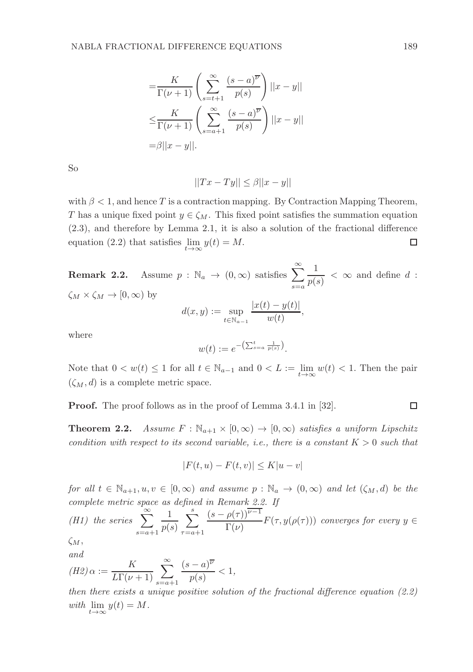$$
= \frac{K}{\Gamma(\nu+1)} \left( \sum_{s=t+1}^{\infty} \frac{(s-a)^{\overline{\nu}}}{p(s)} \right) ||x-y||
$$
  

$$
\leq \frac{K}{\Gamma(\nu+1)} \left( \sum_{s=a+1}^{\infty} \frac{(s-a)^{\overline{\nu}}}{p(s)} \right) ||x-y||
$$
  

$$
= \beta ||x-y||.
$$

So

$$
||Tx - Ty|| \le \beta ||x - y||
$$

with  $\beta < 1$ , and hence T is a contraction mapping. By Contraction Mapping Theorem, T has a unique fixed point  $y \in \zeta_M$ . This fixed point satisfies the summation equation (2.3), and therefore by Lemma 2.1, it is also a solution of the fractional difference equation (2.2) that satisfies  $\lim_{t\to\infty} y(t) = M$ . □

**Remark 2.2.** Assume  $p : \mathbb{N}_a \to (0, \infty)$  satisfies  $\sum_{n=1}^{\infty}$  $s=a$ 1  $\frac{1}{p(s)} < \infty$  and define d:  $\zeta_M \times \zeta_M \to [0, \infty)$  by

$$
d(x, y) := \sup_{t \in \mathbb{N}_{a-1}} \frac{|x(t) - y(t)|}{w(t)},
$$

where

$$
w(t) := e^{-\left(\sum_{s=a}^t \frac{1}{p(s)}\right)}.
$$

Note that  $0 < w(t) \leq 1$  for all  $t \in \mathbb{N}_{a-1}$  and  $0 < L := \lim_{t \to \infty} w(t) < 1$ . Then the pair  $(\zeta_M, d)$  is a complete metric space.

Proof. The proof follows as in the proof of Lemma 3.4.1 in [32].

**Theorem 2.2.** Assume  $F : \mathbb{N}_{a+1} \times [0, \infty) \to [0, \infty)$  satisfies a uniform Lipschitz condition with respect to its second variable, i.e., there is a constant  $K > 0$  such that

$$
|F(t, u) - F(t, v)| \le K|u - v|
$$

for all  $t \in \mathbb{N}_{a+1}, u, v \in [0, \infty)$  and assume  $p : \mathbb{N}_a \to (0, \infty)$  and let  $(\zeta_M, d)$  be the complete metric space as defined in Remark 2.2. If

(H1) the series 
$$
\sum_{s=a+1}^{\infty} \frac{1}{p(s)} \sum_{\tau=a+1}^{s} \frac{(s-\rho(\tau))^{\nu-1}}{\Gamma(\nu)} F(\tau, y(\rho(\tau)))
$$
 converges for every  $y \in$ 

 $\zeta M$ and

$$
(H2)\alpha := \frac{K}{L\Gamma(\nu+1)}\sum_{s=a+1}^{\infty}\frac{(s-a)^{\overline{\nu}}}{p(s)} < 1,
$$

then there exists a unique positive solution of the fractional difference equation  $(2.2)$ with  $\lim_{t\to\infty} y(t) = M$ .

$$
\Box
$$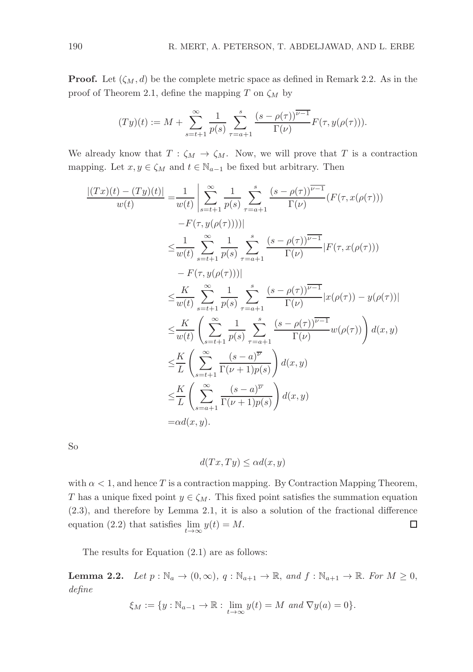**Proof.** Let  $(\zeta_M, d)$  be the complete metric space as defined in Remark 2.2. As in the proof of Theorem 2.1, define the mapping T on  $\zeta_M$  by

$$
(Ty)(t) := M + \sum_{s=t+1}^{\infty} \frac{1}{p(s)} \sum_{\tau=a+1}^{s} \frac{(s - \rho(\tau))^{v-1}}{\Gamma(v)} F(\tau, y(\rho(\tau))).
$$

We already know that  $T : \zeta_M \to \zeta_M$ . Now, we will prove that T is a contraction mapping. Let  $x, y \in \zeta_M$  and  $t \in \mathbb{N}_{a-1}$  be fixed but arbitrary. Then

$$
\frac{|(Tx)(t) - (Ty)(t)|}{w(t)} = \frac{1}{w(t)} \left| \sum_{s=t+1}^{\infty} \frac{1}{p(s)} \sum_{\tau=a+1}^{s} \frac{(s - \rho(\tau))^{v-1}}{\Gamma(\nu)} (F(\tau, x(\rho(\tau)))) \right|
$$
  
\n
$$
\leq \frac{1}{w(t)} \sum_{s=t+1}^{\infty} \frac{1}{p(s)} \sum_{\tau=a+1}^{s} \frac{(s - \rho(\tau))^{v-1}}{\Gamma(\nu)} |F(\tau, x(\rho(\tau)))
$$
  
\n
$$
- F(\tau, y(\rho(\tau)))|
$$
  
\n
$$
\leq \frac{K}{w(t)} \sum_{s=t+1}^{\infty} \frac{1}{p(s)} \sum_{\tau=a+1}^{s} \frac{(s - \rho(\tau))^{v-1}}{\Gamma(\nu)} |x(\rho(\tau)) - y(\rho(\tau))|
$$
  
\n
$$
\leq \frac{K}{w(t)} \left( \sum_{s=t+1}^{\infty} \frac{1}{p(s)} \sum_{\tau=a+1}^{s} \frac{(s - \rho(\tau))^{v-1}}{\Gamma(\nu)} w(\rho(\tau)) \right) d(x, y)
$$
  
\n
$$
\leq \frac{K}{L} \left( \sum_{s=t+1}^{\infty} \frac{(s - a)^{v}}{\Gamma(\nu + 1)p(s)} \right) d(x, y)
$$
  
\n
$$
\leq \frac{K}{L} \left( \sum_{s=a+1}^{\infty} \frac{(s - a)^{v}}{\Gamma(\nu + 1)p(s)} \right) d(x, y)
$$
  
\n
$$
= \alpha d(x, y).
$$

So

$$
d(Tx, Ty) \le \alpha d(x, y)
$$

with  $\alpha < 1$ , and hence T is a contraction mapping. By Contraction Mapping Theorem, T has a unique fixed point  $y \in \zeta_M$ . This fixed point satisfies the summation equation (2.3), and therefore by Lemma 2.1, it is also a solution of the fractional difference equation (2.2) that satisfies  $\lim_{t\to\infty} y(t) = M$ . □

The results for Equation (2.1) are as follows:

**Lemma 2.2.** Let  $p : \mathbb{N}_a \to (0, \infty), q : \mathbb{N}_{a+1} \to \mathbb{R}, \text{ and } f : \mathbb{N}_{a+1} \to \mathbb{R}. \text{ For } M \ge 0,$ define

$$
\xi_M := \{ y : \mathbb{N}_{a-1} \to \mathbb{R} : \lim_{t \to \infty} y(t) = M \text{ and } \nabla y(a) = 0 \}.
$$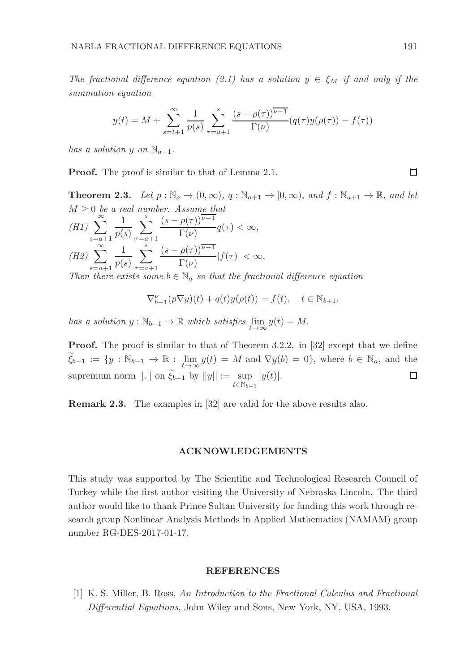The fractional difference equation (2.1) has a solution  $y \in \xi_M$  if and only if the summation equation

$$
y(t) = M + \sum_{s=t+1}^{\infty} \frac{1}{p(s)} \sum_{\tau=a+1}^{s} \frac{(s-\rho(\tau))^{\overline{\nu-1}}}{\Gamma(\nu)} (q(\tau)y(\rho(\tau)) - f(\tau))
$$

has a solution y on  $\mathbb{N}_{a-1}$ .

Proof. The proof is similar to that of Lemma 2.1.

**Theorem 2.3.** Let  $p : \mathbb{N}_a \to (0, \infty), q : \mathbb{N}_{a+1} \to [0, \infty),$  and  $f : \mathbb{N}_{a+1} \to \mathbb{R},$  and let  $M \geq 0$  be a real number. Assume that<br>  $(H1)$   $\sum_{n=0}^{\infty} \frac{1}{n} \sum_{n=0}^{s} \frac{(s - \rho(\tau))^{n-1}}{\Gamma(\tau)} q(\tau)$  $s=a+1$ 1  $p(s)$  $\sum_{i=1}^{s}$  $\tau=a+1$  $(s - \rho(\tau))$ <sup> $\overline{v-1}$ </sup>  $\frac{P(Y)}{\Gamma(\nu)} - q(\tau) < \infty,$  $(H2) \sum_{n=1}^{\infty}$  $s=a+1$ 1  $p(s)$  $\sum_{i=1}^{s}$  $\tau=a+1$  $(s - \rho(\tau))$ <sup> $\overline{v-1}$ </sup>  $\frac{P(Y)}{\Gamma(\nu)}$   $|f(\tau)| < \infty$ .

Then there exists some  $b \in \mathbb{N}_a$  so that the fractional difference equation

$$
\nabla_{b-1}^{\nu}(p\nabla y)(t) + q(t)y(\rho(t)) = f(t), \quad t \in \mathbb{N}_{b+1},
$$

has a solution  $y : \mathbb{N}_{b-1} \to \mathbb{R}$  which satisfies  $\lim_{t \to \infty} y(t) = M$ .

Proof. The proof is similar to that of Theorem 3.2.2. in [32] except that we define  $\widetilde{\xi}_{b-1} := \{y : \mathbb{N}_{b-1} \to \mathbb{R} : \lim_{t \to \infty} y(t) = M \text{ and } \nabla y(b) = 0\},\text{ where } b \in \mathbb{N}_a\text{, and the }$ supremum norm  $||.||$  on  $\xi_{b-1}$  by  $||y|| := \sup_{t \in \mathbb{N}_{b-1}}$  $|y(t)|$ .

Remark 2.3. The examples in [32] are valid for the above results also.

### ACKNOWLEDGEMENTS

This study was supported by The Scientific and Technological Research Council of Turkey while the first author visiting the University of Nebraska-Lincoln. The third author would like to thank Prince Sultan University for funding this work through research group Nonlinear Analysis Methods in Applied Mathematics (NAMAM) group number RG-DES-2017-01-17.

#### REFERENCES

[1] K. S. Miller, B. Ross, An Introduction to the Fractional Calculus and Fractional Differential Equations, John Wiley and Sons, New York, NY, USA, 1993.

□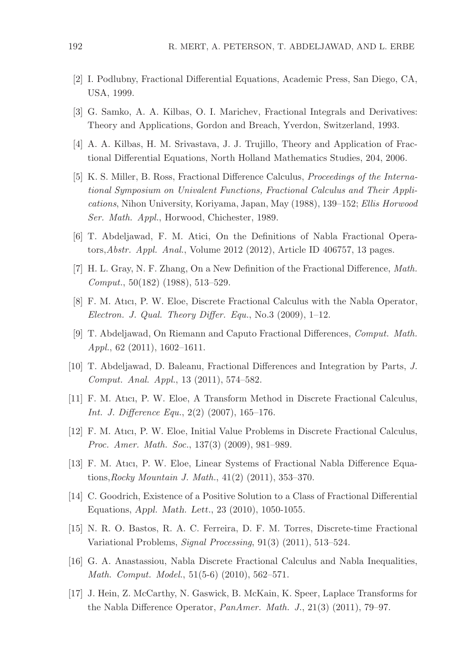- [2] I. Podlubny, Fractional Differential Equations, Academic Press, San Diego, CA, USA, 1999.
- [3] G. Samko, A. A. Kilbas, O. I. Marichev, Fractional Integrals and Derivatives: Theory and Applications, Gordon and Breach, Yverdon, Switzerland, 1993.
- [4] A. A. Kilbas, H. M. Srivastava, J. J. Trujillo, Theory and Application of Fractional Differential Equations, North Holland Mathematics Studies, 204, 2006.
- [5] K. S. Miller, B. Ross, Fractional Difference Calculus, Proceedings of the International Symposium on Univalent Functions, Fractional Calculus and Their Applications, Nihon University, Koriyama, Japan, May (1988), 139–152; Ellis Horwood Ser. Math. Appl., Horwood, Chichester, 1989.
- [6] T. Abdeljawad, F. M. Atici, On the Definitions of Nabla Fractional Operators,Abstr. Appl. Anal., Volume 2012 (2012), Article ID 406757, 13 pages.
- [7] H. L. Gray, N. F. Zhang, On a New Definition of the Fractional Difference, Math. Comput., 50(182) (1988), 513–529.
- [8] F. M. Atıcı, P. W. Eloe, Discrete Fractional Calculus with the Nabla Operator, Electron. J. Qual. Theory Differ. Equ., No.3  $(2009)$ , 1–12.
- [9] T. Abdeljawad, On Riemann and Caputo Fractional Differences, Comput. Math. Appl., 62 (2011), 1602–1611.
- [10] T. Abdeljawad, D. Baleanu, Fractional Differences and Integration by Parts, J. Comput. Anal. Appl., 13 (2011), 574–582.
- [11] F. M. Atıcı, P. W. Eloe, A Transform Method in Discrete Fractional Calculus, Int. J. Difference Equ., 2(2) (2007), 165–176.
- [12] F. M. Atıcı, P. W. Eloe, Initial Value Problems in Discrete Fractional Calculus, Proc. Amer. Math. Soc., 137(3) (2009), 981–989.
- [13] F. M. Atıcı, P. W. Eloe, Linear Systems of Fractional Nabla Difference Equations,Rocky Mountain J. Math., 41(2) (2011), 353–370.
- [14] C. Goodrich, Existence of a Positive Solution to a Class of Fractional Differential Equations, Appl. Math. Lett., 23 (2010), 1050-1055.
- [15] N. R. O. Bastos, R. A. C. Ferreira, D. F. M. Torres, Discrete-time Fractional Variational Problems, Signal Processing, 91(3) (2011), 513–524.
- [16] G. A. Anastassiou, Nabla Discrete Fractional Calculus and Nabla Inequalities, Math. Comput. Model., 51(5-6) (2010), 562–571.
- [17] J. Hein, Z. McCarthy, N. Gaswick, B. McKain, K. Speer, Laplace Transforms for the Nabla Difference Operator, PanAmer. Math. J., 21(3) (2011), 79–97.